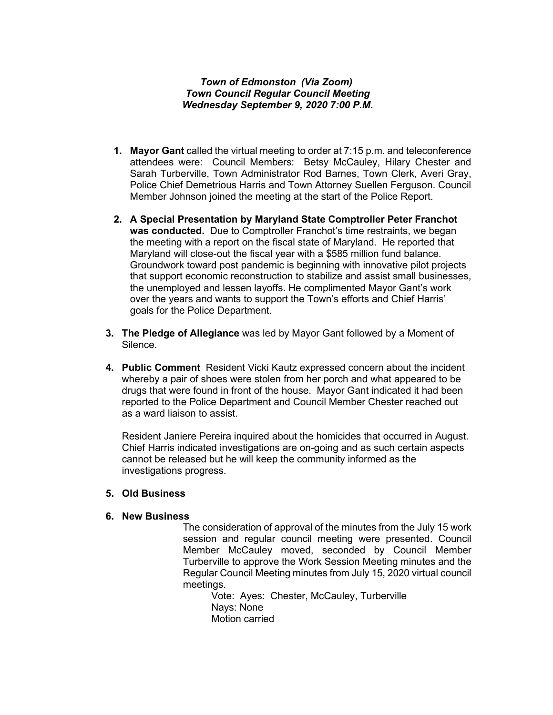### *Town of Edmonston (Via Zoom) Town Council Regular Council Meeting Wednesday September 9, 2020 7:00 P.M.*

- **1. Mayor Gant** called the virtual meeting to order at 7:15 p.m. and teleconference attendees were: Council Members: Betsy McCauley, Hilary Chester and Sarah Turberville, Town Administrator Rod Barnes, Town Clerk, Averi Gray, Police Chief Demetrious Harris and Town Attorney Suellen Ferguson. Council Member Johnson joined the meeting at the start of the Police Report.
- **2. A Special Presentation by Maryland State Comptroller Peter Franchot was conducted.** Due to Comptroller Franchot's time restraints, we began the meeting with a report on the fiscal state of Maryland. He reported that Maryland will close-out the fiscal year with a \$585 million fund balance. Groundwork toward post pandemic is beginning with innovative pilot projects that support economic reconstruction to stabilize and assist small businesses, the unemployed and lessen layoffs. He complimented Mayor Gant's work over the years and wants to support the Town's efforts and Chief Harris' goals for the Police Department.
- **3. The Pledge of Allegiance** was led by Mayor Gant followed by a Moment of Silence.
- **4. Public Comment** Resident Vicki Kautz expressed concern about the incident whereby a pair of shoes were stolen from her porch and what appeared to be drugs that were found in front of the house. Mayor Gant indicated it had been reported to the Police Department and Council Member Chester reached out as a ward liaison to assist.

Resident Janiere Pereira inquired about the homicides that occurred in August. Chief Harris indicated investigations are on-going and as such certain aspects cannot be released but he will keep the community informed as the investigations progress.

#### **5. Old Business**

### **6. New Business**

The consideration of approval of the minutes from the July 15 work session and regular council meeting were presented. Council Member McCauley moved, seconded by Council Member Turberville to approve the Work Session Meeting minutes and the Regular Council Meeting minutes from July 15, 2020 virtual council meetings.

Vote: Ayes: Chester, McCauley, Turberville Nays: None Motion carried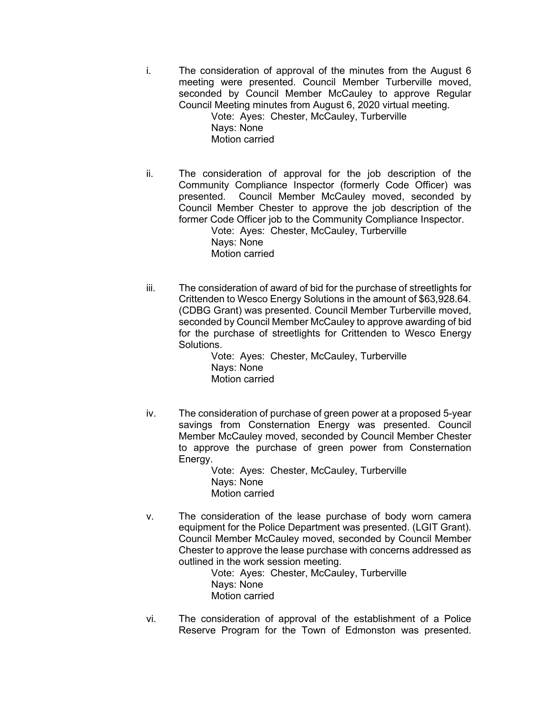i. The consideration of approval of the minutes from the August 6 meeting were presented. Council Member Turberville moved, seconded by Council Member McCauley to approve Regular Council Meeting minutes from August 6, 2020 virtual meeting.

Vote: Ayes: Chester, McCauley, Turberville Nays: None Motion carried

- ii. The consideration of approval for the job description of the Community Compliance Inspector (formerly Code Officer) was presented. Council Member McCauley moved, seconded by Council Member Chester to approve the job description of the former Code Officer job to the Community Compliance Inspector. Vote: Ayes: Chester, McCauley, Turberville
	- Nays: None Motion carried
- iii. The consideration of award of bid for the purchase of streetlights for Crittenden to Wesco Energy Solutions in the amount of \$63,928.64. (CDBG Grant) was presented. Council Member Turberville moved, seconded by Council Member McCauley to approve awarding of bid for the purchase of streetlights for Crittenden to Wesco Energy **Solutions**

Vote: Ayes: Chester, McCauley, Turberville Nays: None Motion carried

iv. The consideration of purchase of green power at a proposed 5-year savings from Consternation Energy was presented. Council Member McCauley moved, seconded by Council Member Chester to approve the purchase of green power from Consternation Energy.

> Vote: Ayes: Chester, McCauley, Turberville Nays: None Motion carried

v. The consideration of the lease purchase of body worn camera equipment for the Police Department was presented. (LGIT Grant). Council Member McCauley moved, seconded by Council Member Chester to approve the lease purchase with concerns addressed as outlined in the work session meeting.

Vote: Ayes: Chester, McCauley, Turberville Nays: None Motion carried

vi. The consideration of approval of the establishment of a Police Reserve Program for the Town of Edmonston was presented.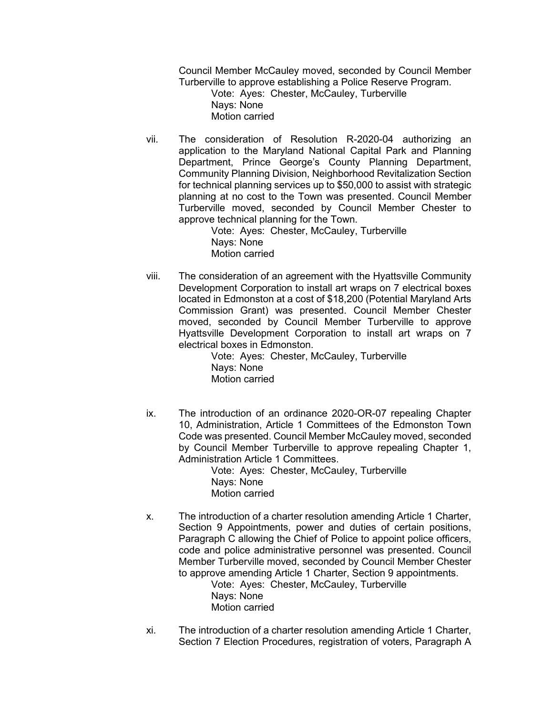Council Member McCauley moved, seconded by Council Member Turberville to approve establishing a Police Reserve Program.

Vote: Ayes: Chester, McCauley, Turberville Nays: None Motion carried

vii. The consideration of Resolution R-2020-04 authorizing an application to the Maryland National Capital Park and Planning Department, Prince George's County Planning Department, Community Planning Division, Neighborhood Revitalization Section for technical planning services up to \$50,000 to assist with strategic planning at no cost to the Town was presented. Council Member Turberville moved, seconded by Council Member Chester to approve technical planning for the Town.

> Vote: Ayes: Chester, McCauley, Turberville Nays: None Motion carried

viii. The consideration of an agreement with the Hyattsville Community Development Corporation to install art wraps on 7 electrical boxes located in Edmonston at a cost of \$18,200 (Potential Maryland Arts Commission Grant) was presented. Council Member Chester moved, seconded by Council Member Turberville to approve Hyattsville Development Corporation to install art wraps on 7 electrical boxes in Edmonston.

Vote: Ayes: Chester, McCauley, Turberville Nays: None Motion carried

ix. The introduction of an ordinance 2020-OR-07 repealing Chapter 10, Administration, Article 1 Committees of the Edmonston Town Code was presented. Council Member McCauley moved, seconded by Council Member Turberville to approve repealing Chapter 1, Administration Article 1 Committees.

> Vote: Ayes: Chester, McCauley, Turberville Nays: None Motion carried

x. The introduction of a charter resolution amending Article 1 Charter, Section 9 Appointments, power and duties of certain positions, Paragraph C allowing the Chief of Police to appoint police officers, code and police administrative personnel was presented. Council Member Turberville moved, seconded by Council Member Chester to approve amending Article 1 Charter, Section 9 appointments.

Vote: Ayes: Chester, McCauley, Turberville Nays: None Motion carried

xi. The introduction of a charter resolution amending Article 1 Charter, Section 7 Election Procedures, registration of voters, Paragraph A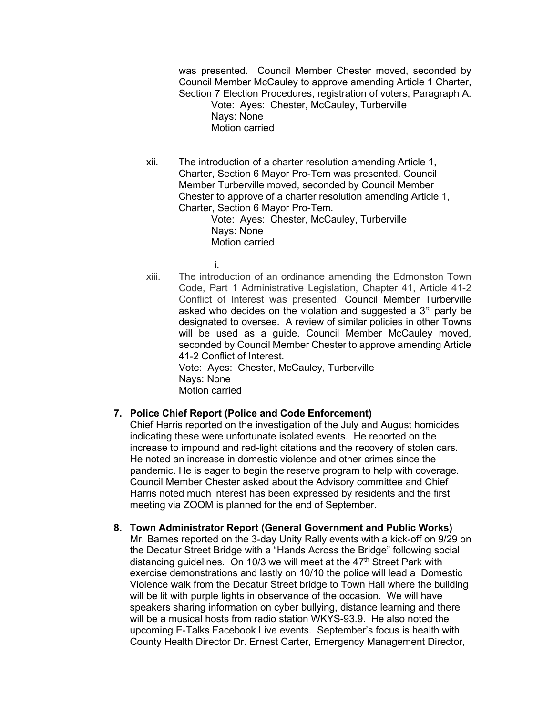was presented. Council Member Chester moved, seconded by Council Member McCauley to approve amending Article 1 Charter, Section 7 Election Procedures, registration of voters, Paragraph A.

Vote: Ayes: Chester, McCauley, Turberville Nays: None Motion carried

xii. The introduction of a charter resolution amending Article 1, Charter, Section 6 Mayor Pro-Tem was presented. Council Member Turberville moved, seconded by Council Member Chester to approve of a charter resolution amending Article 1, Charter, Section 6 Mayor Pro-Tem.

Vote: Ayes: Chester, McCauley, Turberville Nays: None Motion carried

i.

xiii. The introduction of an ordinance amending the Edmonston Town Code, Part 1 Administrative Legislation, Chapter 41, Article 41-2 Conflict of Interest was presented. Council Member Turberville asked who decides on the violation and suggested a  $3<sup>rd</sup>$  party be designated to oversee. A review of similar policies in other Towns will be used as a guide. Council Member McCauley moved, seconded by Council Member Chester to approve amending Article 41-2 Conflict of Interest. Vote: Ayes: Chester, McCauley, Turberville

Nays: None Motion carried

# **7. Police Chief Report (Police and Code Enforcement)**

Chief Harris reported on the investigation of the July and August homicides indicating these were unfortunate isolated events. He reported on the increase to impound and red-light citations and the recovery of stolen cars. He noted an increase in domestic violence and other crimes since the pandemic. He is eager to begin the reserve program to help with coverage. Council Member Chester asked about the Advisory committee and Chief Harris noted much interest has been expressed by residents and the first meeting via ZOOM is planned for the end of September.

**8. Town Administrator Report (General Government and Public Works)** Mr. Barnes reported on the 3-day Unity Rally events with a kick-off on 9/29 on the Decatur Street Bridge with a "Hands Across the Bridge" following social distancing guidelines. On 10/3 we will meet at the  $47<sup>th</sup>$  Street Park with exercise demonstrations and lastly on 10/10 the police will lead a Domestic Violence walk from the Decatur Street bridge to Town Hall where the building will be lit with purple lights in observance of the occasion. We will have speakers sharing information on cyber bullying, distance learning and there will be a musical hosts from radio station WKYS-93.9. He also noted the upcoming E-Talks Facebook Live events. September's focus is health with County Health Director Dr. Ernest Carter, Emergency Management Director,